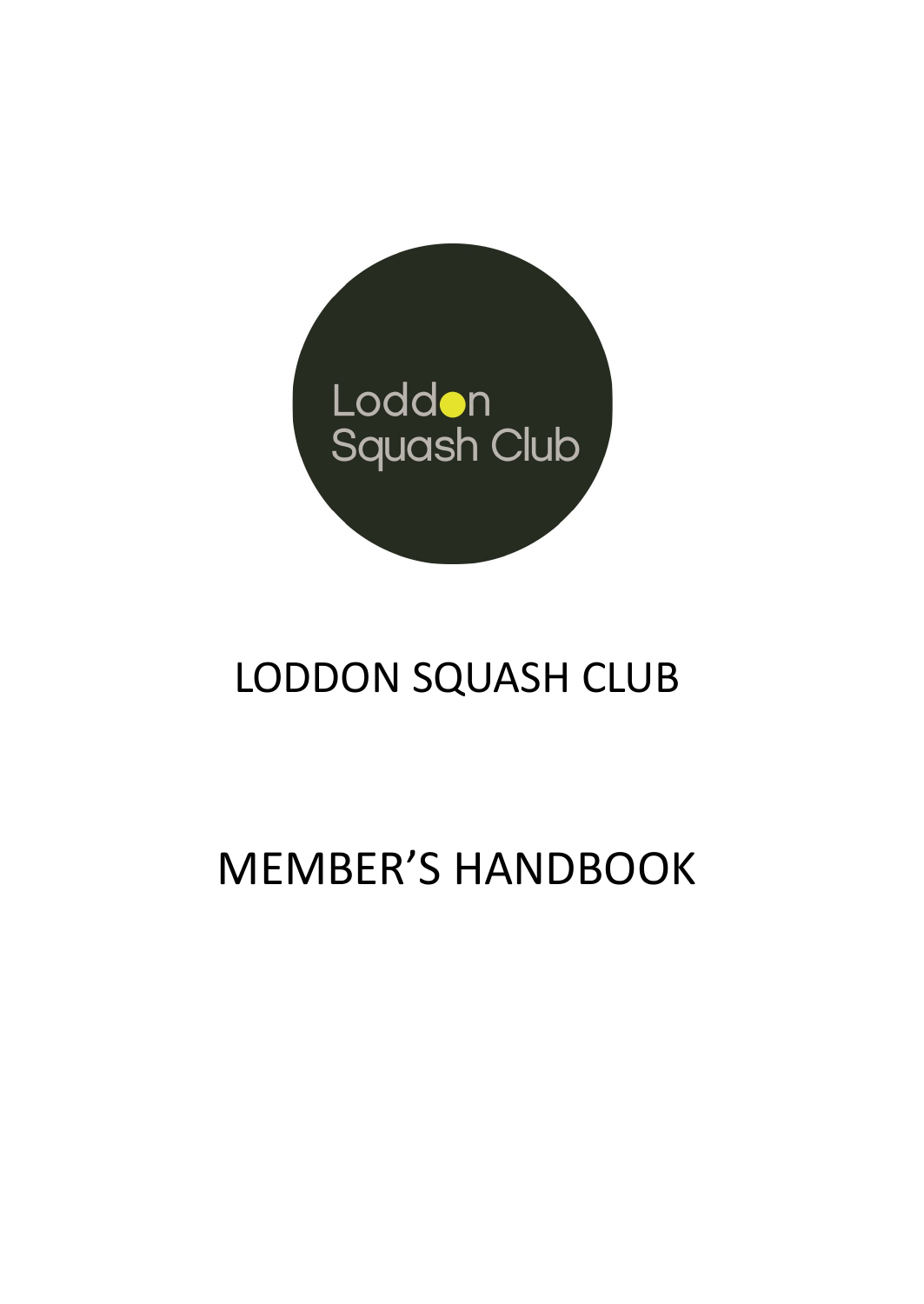

# LODDON SQUASH CLUB

# MEMBER'S HANDBOOK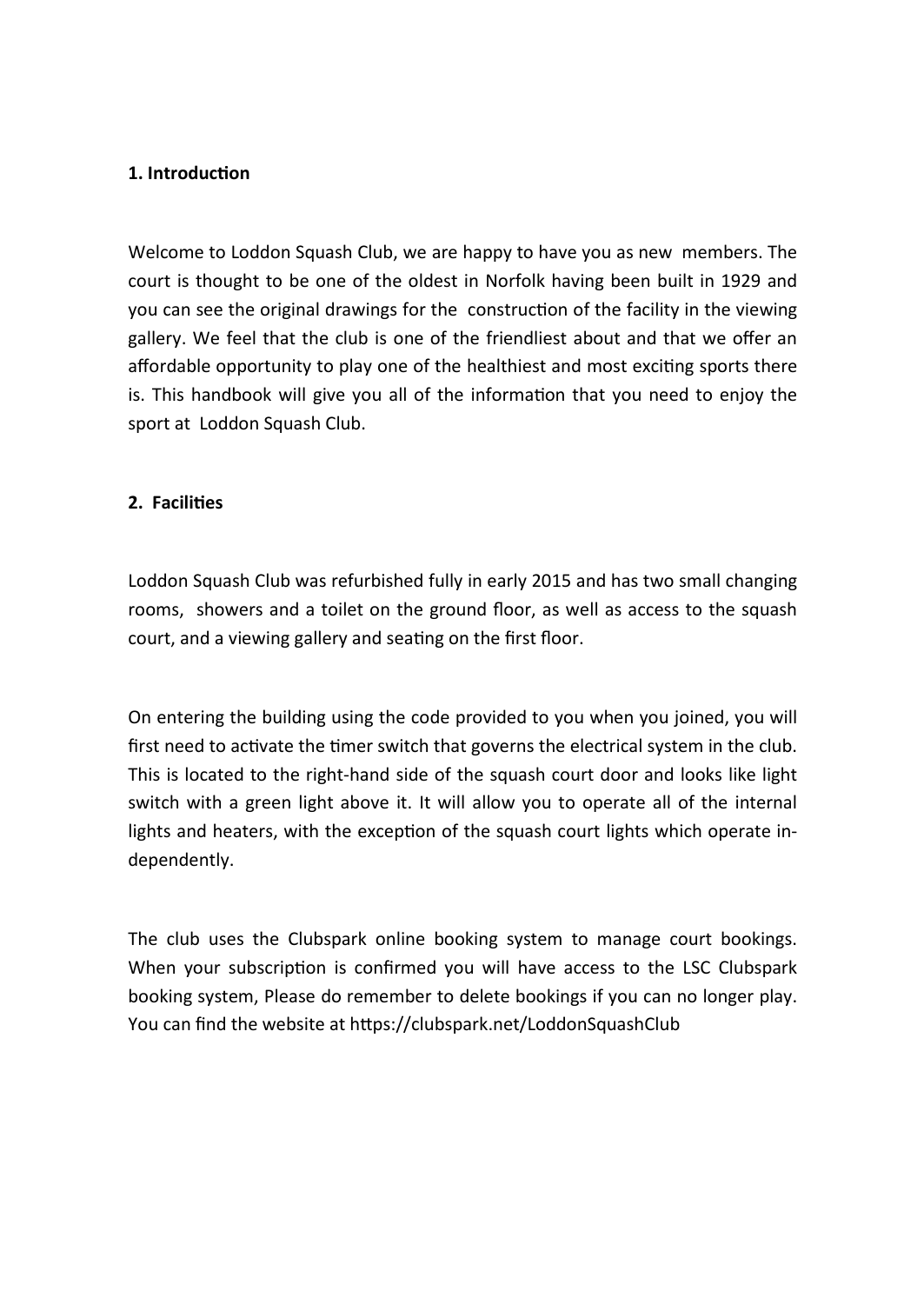#### **1. Introduction**

Welcome to Loddon Squash Club, we are happy to have you as new members. The court is thought to be one of the oldest in Norfolk having been built in 1929 and you can see the original drawings for the construction of the facility in the viewing gallery. We feel that the club is one of the friendliest about and that we offer an affordable opportunity to play one of the healthiest and most exciting sports there is. This handbook will give you all of the information that you need to enjoy the sport at Loddon Squash Club.

#### **2. Facilities**

Loddon Squash Club was refurbished fully in early 2015 and has two small changing rooms, showers and a toilet on the ground floor, as well as access to the squash court, and a viewing gallery and seating on the first floor.

On entering the building using the code provided to you when you joined, you will first need to activate the timer switch that governs the electrical system in the club. This is located to the right-hand side of the squash court door and looks like light switch with a green light above it. It will allow you to operate all of the internal lights and heaters, with the exception of the squash court lights which operate independently.

The club uses the Clubspark online booking system to manage court bookings. When your subscription is confirmed you will have access to the LSC Clubspark booking system, Please do remember to delete bookings if you can no longer play. You can find the website at https://clubspark.net/LoddonSquashClub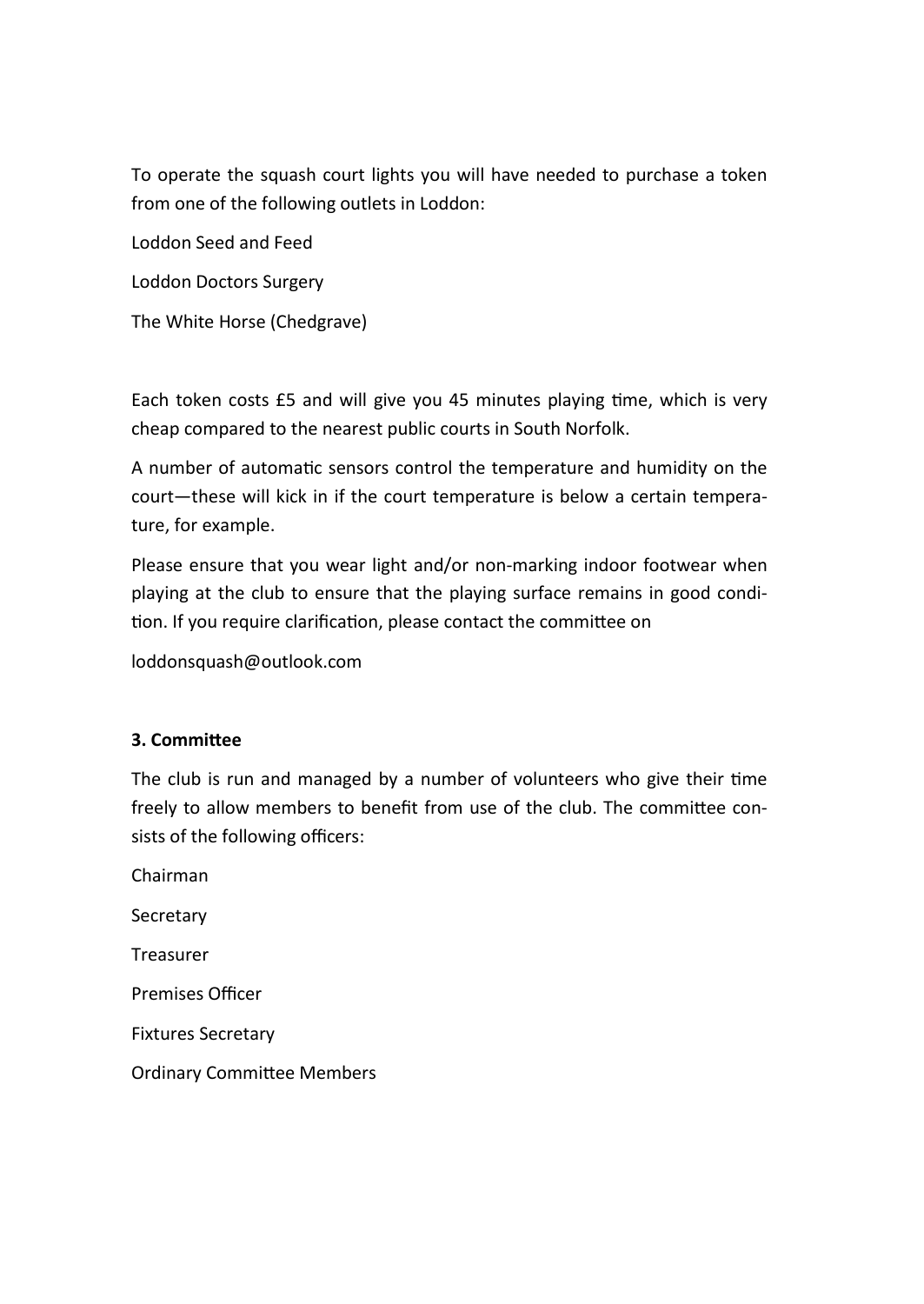To operate the squash court lights you will have needed to purchase a token from one of the following outlets in Loddon:

Loddon Seed and Feed

Loddon Doctors Surgery

The White Horse (Chedgrave)

Each token costs £5 and will give you 45 minutes playing time, which is very cheap compared to the nearest public courts in South Norfolk.

A number of automatic sensors control the temperature and humidity on the court—these will kick in if the court temperature is below a certain temperature, for example.

Please ensure that you wear light and/or non-marking indoor footwear when playing at the club to ensure that the playing surface remains in good condition. If you require clarification, please contact the committee on

loddonsquash@outlook.com

## **3. Committee**

The club is run and managed by a number of volunteers who give their time freely to allow members to benefit from use of the club. The committee consists of the following officers:

Chairman **Secretary** Treasurer Premises Officer Fixtures Secretary Ordinary Committee Members